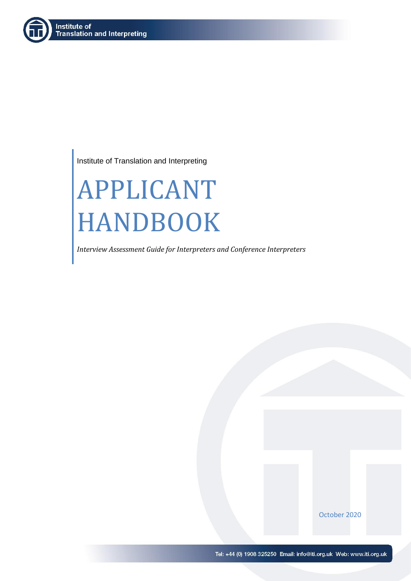

Institute of Translation and Interpreting

# APPLICANT HANDBOOK

*Interview Assessment Guide for Interpreters and Conference Interpreters*

October 2020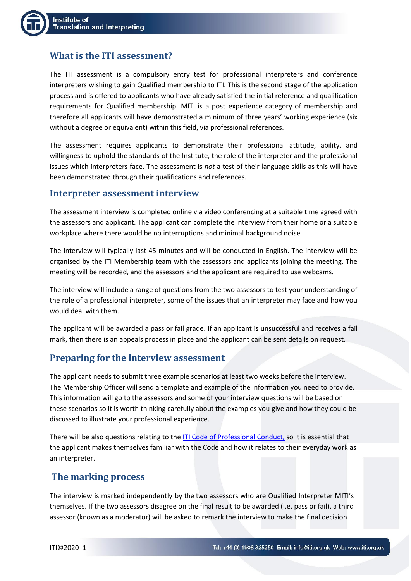

# **What is the ITI assessment?**

The ITI assessment is a compulsory entry test for professional interpreters and conference interpreters wishing to gain Qualified membership to ITI. This is the second stage of the application process and is offered to applicants who have already satisfied the initial reference and qualification requirements for Qualified membership. MITI is a post experience category of membership and therefore all applicants will have demonstrated a minimum of three years' working experience (six without a degree or equivalent) within this field, via professional references.

The assessment requires applicants to demonstrate their professional attitude, ability, and willingness to uphold the standards of the Institute, the role of the interpreter and the professional issues which interpreters face. The assessment is *not* a test of their language skills as this will have been demonstrated through their qualifications and references.

### **Interpreter assessment interview**

The assessment interview is completed online via video conferencing at a suitable time agreed with the assessors and applicant. The applicant can complete the interview from their home or a suitable workplace where there would be no interruptions and minimal background noise.

The interview will typically last 45 minutes and will be conducted in English. The interview will be organised by the ITI Membership team with the assessors and applicants joining the meeting. The meeting will be recorded, and the assessors and the applicant are required to use webcams.

The interview will include a range of questions from the two assessors to test your understanding of the role of a professional interpreter, some of the issues that an interpreter may face and how you would deal with them.

The applicant will be awarded a pass or fail grade. If an applicant is unsuccessful and receives a fail mark, then there is an appeals process in place and the applicant can be sent details on request.

# **Preparing for the interview assessment**

The applicant needs to submit three example scenarios at least two weeks before the interview. The Membership Officer will send a template and example of the information you need to provide. This information will go to the assessors and some of your interview questions will be based on these scenarios so it is worth thinking carefully about the examples you give and how they could be discussed to illustrate your professional experience.

There will be also questions relating to th[e ITI Code of Professional Conduct,](https://www.iti.org.uk/about-iti/professional-standards.html) so it is essential that the applicant makes themselves familiar with the Code and how it relates to their everyday work as an interpreter.

## **The marking process**

The interview is marked independently by the two assessors who are Qualified Interpreter MITI's themselves. If the two assessors disagree on the final result to be awarded (i.e. pass or fail), a third assessor (known as a moderator) will be asked to remark the interview to make the final decision.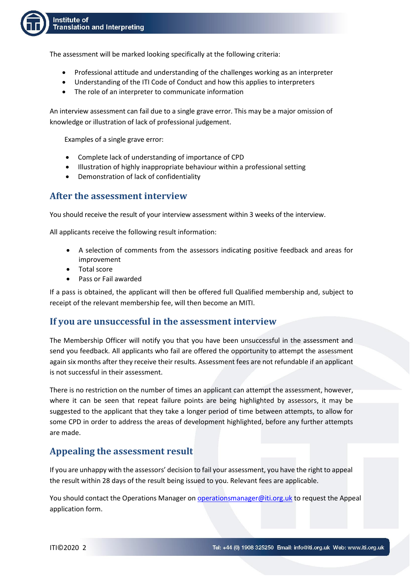

The assessment will be marked looking specifically at the following criteria:

- Professional attitude and understanding of the challenges working as an interpreter
- Understanding of the ITI Code of Conduct and how this applies to interpreters
- The role of an interpreter to communicate information

An interview assessment can fail due to a single grave error. This may be a major omission of knowledge or illustration of lack of professional judgement.

Examples of a single grave error:

- Complete lack of understanding of importance of CPD
- Illustration of highly inappropriate behaviour within a professional setting
- Demonstration of lack of confidentiality

### **After the assessment interview**

You should receive the result of your interview assessment within 3 weeks of the interview.

All applicants receive the following result information:

- A selection of comments from the assessors indicating positive feedback and areas for improvement
- Total score
- Pass or Fail awarded

If a pass is obtained, the applicant will then be offered full Qualified membership and, subject to receipt of the relevant membership fee, will then become an MITI.

### **If you are unsuccessful in the assessment interview**

The Membership Officer will notify you that you have been unsuccessful in the assessment and send you feedback. All applicants who fail are offered the opportunity to attempt the assessment again six months after they receive their results. Assessment fees are not refundable if an applicant is not successful in their assessment.

There is no restriction on the number of times an applicant can attempt the assessment, however, where it can be seen that repeat failure points are being highlighted by assessors, it may be suggested to the applicant that they take a longer period of time between attempts, to allow for some CPD in order to address the areas of development highlighted, before any further attempts are made.

## **Appealing the assessment result**

If you are unhappy with the assessors' decision to fail your assessment, you have the right to appeal the result within 28 days of the result being issued to you. Relevant fees are applicable.

You should contact the Operations Manager on [operationsmanager@iti.org.uk](mailto:operationsmanager@iti.org.uk) to request the Appeal application form.